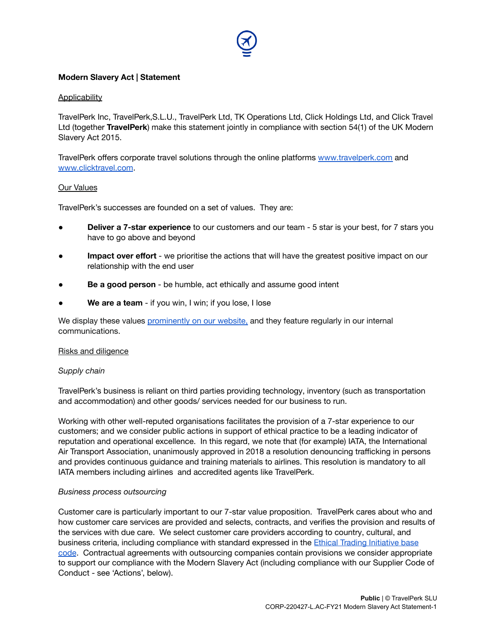## **Modern Slavery Act | Statement**

#### **Applicability**

TravelPerk Inc, TravelPerk,S.L.U., TravelPerk Ltd, TK Operations Ltd, Click Holdings Ltd, and Click Travel Ltd (together **TravelPerk**) make this statement jointly in compliance with section 54(1) of the UK Modern Slavery Act 2015.

TravelPerk offers corporate travel solutions through the online platforms [www.travelperk.com](http://www.travelperk.com/) an[d](http://www.clicktravel.com/) [www.clicktravel.com](http://www.clicktravel.com/).

#### Our Values

TravelPerk's successes are founded on a set of values. They are:

- **Deliver a 7-star experience** to our customers and our team 5 star is your best, for 7 stars you have to go above and beyond
- **Impact over effort** we prioritise the actions that will have the greatest positive impact on our relationship with the end user
- **Be a good person** be humble, act ethically and assume good intent
- We are a team if you win, I win; if you lose, I lose

We display these values [prominently](https://www.travelperk.com/company/) on our website, and they feature regularly in our internal communications.

#### Risks and diligence

#### *Supply chain*

TravelPerk's business is reliant on third parties providing technology, inventory (such as transportation and accommodation) and other goods/ services needed for our business to run.

Working with other well-reputed organisations facilitates the provision of a 7-star experience to our customers; and we consider public actions in support of ethical practice to be a leading indicator of reputation and operational excellence. In this regard, we note that (for example) IATA, the International Air Transport Association, unanimously approved in 2018 a resolution denouncing trafficking in persons and provides continuous guidance and training materials to airlines. This resolution is mandatory to all IATA members including airlines and accredited agents like TravelPerk.

#### *Business process outsourcing*

Customer care is particularly important to our 7-star value proposition. TravelPerk cares about who and how customer care services are provided and selects, contracts, and verifies the provision and results of the services with due care. We select customer care providers according to country, cultural, and business criteria, including compliance with standard expressed in the Ethical Trading [Initiative](https://www.ethicaltrade.org/eti-base-code) base [code](https://www.ethicaltrade.org/eti-base-code). Contractual agreements with outsourcing companies contain provisions we consider appropriate to support our compliance with the Modern Slavery Act (including compliance with our Supplier Code of Conduct - see 'Actions', below).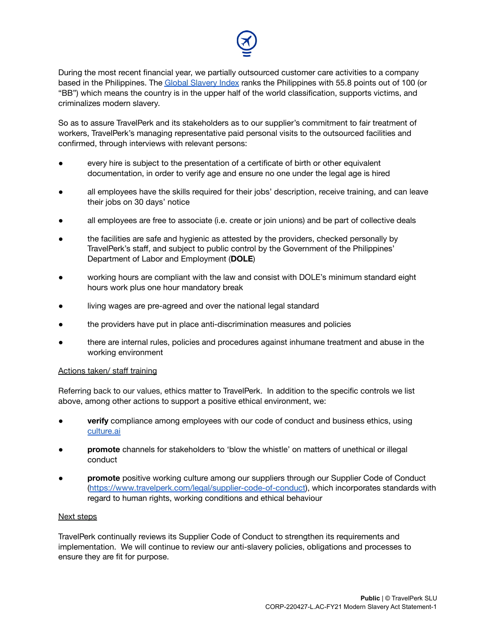

During the most recent financial year, we partially outsourced customer care activities to a company based in the Philippines. The Global [Slavery](https://www.globalslaveryindex.org/) Index ranks the Philippines with 55.8 points out of 100 (or "BB") which means the country is in the upper half of the world classification, supports victims, and criminalizes modern slavery.

So as to assure TravelPerk and its stakeholders as to our supplier's commitment to fair treatment of workers, TravelPerk's managing representative paid personal visits to the outsourced facilities and confirmed, through interviews with relevant persons:

- every hire is subject to the presentation of a certificate of birth or other equivalent documentation, in order to verify age and ensure no one under the legal age is hired
- all employees have the skills required for their jobs' description, receive training, and can leave their jobs on 30 days' notice
- all employees are free to associate (i.e. create or join unions) and be part of collective deals
- the facilities are safe and hygienic as attested by the providers, checked personally by TravelPerk's staff, and subject to public control by the Government of the Philippines' Department of Labor and Employment (**DOLE**)
- working hours are compliant with the law and consist with DOLE's minimum standard eight hours work plus one hour mandatory break
- living wages are pre-agreed and over the national legal standard
- the providers have put in place anti-discrimination measures and policies
- there are internal rules, policies and procedures against inhumane treatment and abuse in the working environment

## Actions taken/ staff training

Referring back to our values, ethics matter to TravelPerk. In addition to the specific controls we list above, among other actions to support a positive ethical environment, we:

- **verify** compliance among employees with our code of conduct and business ethics, using [culture.ai](https://culture.ai/)
- **promote** channels for stakeholders to 'blow the whistle' on matters of unethical or illegal conduct
- **promote** positive working culture among our suppliers through our Supplier Code of Conduct (<https://www.travelperk.com/legal/supplier-code-of-conduct>), which incorporates standards with regard to human rights, working conditions and ethical behaviour

## Next steps

TravelPerk continually reviews its Supplier Code of Conduct to strengthen its requirements and implementation. We will continue to review our anti-slavery policies, obligations and processes to ensure they are fit for purpose.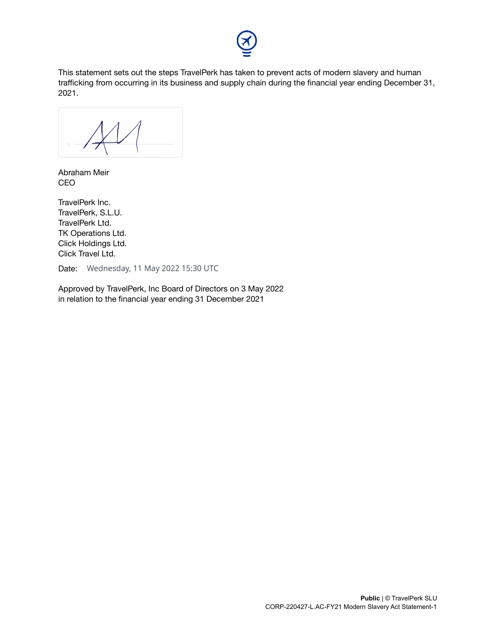

This statement sets out the steps TravelPerk has taken to prevent acts of modern slavery and human trafficking from occurring in its business and supply chain during the financial year ending December 31, 2021.

\_\_\_\_\_\_\_\_\_\_\_\_\_\_\_\_\_\_\_\_\_\_\_\_

Abraham Meir CEO

TravelPerk Inc. TravelPerk, S.L.U. TravelPerk Ltd. TK Operations Ltd. Click Holdings Ltd. Click Travel Ltd.

Date: Wednesday, 11 May 2022 15:30 UTC

Approved by TravelPerk, Inc Board of Directors on 3 May 2022 in relation to the financial year ending 31 December 2021